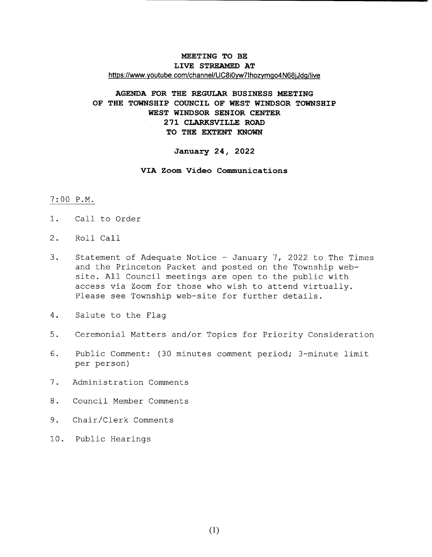# MEETING TO BE LIVE STREAMED AT https://www.youtube.com/channel/UC8i0yw7lhozymgo4N68jJdg/live

# AGENDA FOR THE REGULAR BUSINESS MEETING OF THE TOWNSHIP COUNCIL OF WEST WINDSOR TOWNSHIP WEST WINDSOR SENIOR CENTER 271 CLARKSVILLE ROAD TO THE EXTENT KNOWN

#### January 24, 2022

### VIA Zoom Video Communications

### 7 : 00 P. M.

- 1. Call to Order
- 2. Roll Call
- 3. Statement of Adequate Notice January 7, 2022 to The Times and the Princeton Packet and posted on the Township website. All Council meetings are open to the public with access via Zoom for those who wish to attend virtually. Please see Township web-site for further details.
- 4. Salute to the Flaq
- 5. Ceremonial Matters and/or Topics for Priority Consideration
- 6. Public Comment: (30 minutes comment period; 3-minute limit per person)
- 7 . Administration Comments
- 8 . Council Member Comments
- 9. Chair/Clerk Comments
- 10. Public Hearings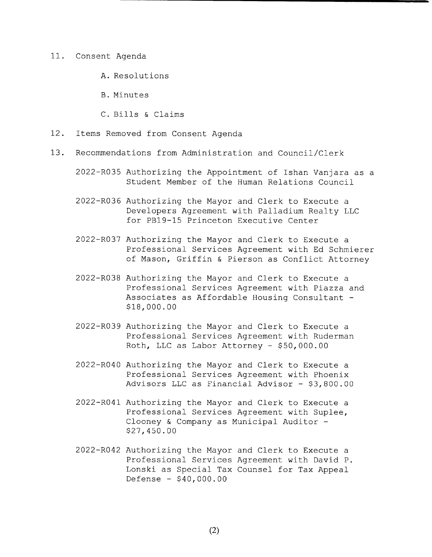#### 11. Consent Agenda

- A. Resolutions
- B. Minutes
- C. Bills & Claims
- 12. Items Removed from Consent Agenda
- 13. Recommendations from Administration and Council/Clerk
	- 2022- RO35 Authorizing the Appointment of Ishan Vanjara as <sup>a</sup> Student Member of the Human Relations Council
	- 2022- RO36 Authorizing the Mayor and Clerk to Execute <sup>a</sup> Developers Agreement with Palladium Realty LLC for PB19-15 Princeton Executive Center
	- 2022- RO37 Authorizing the Mayor and Clerk to Execute <sup>a</sup> Professional Services Agreement with Ed Schmierer of Mason, Griffin & Pierson as Conflict Attorney
	- 2022- RO38 Authorizing the Mayor and Clerk to Execute <sup>a</sup> Professional Services Agreement with Piazza and Associates as Affordable Housing Consultant - 18, 000 . 00
	- 2022- RO39 Authorizing the Mayor and Clerk to Execute <sup>a</sup> Professional Services Agreement with Ruderman Roth, LLC as Labor Attorney - \$50,000.00
	- 2022- RO40 Authorizing the Mayor and Clerk to Execute <sup>a</sup> Professional Services Agreement with Phoenix Advisors LLC as Financial Advisor  $-$  \$3,800.00
	- 2022- RO41 Authorizing the Mayor and Clerk to Execute <sup>a</sup> Professional Services Agreement with Suplee, Clooney & Company as Municipal Auditor - 27, 450 . 00
	- 2022- RO42 Authorizing the Mayor and Clerk to Execute <sup>a</sup> Professional Services Agreement with David P. Lonski as Special Tax Counsel for Tax Appeal Defense - \$ 40, 000 . 00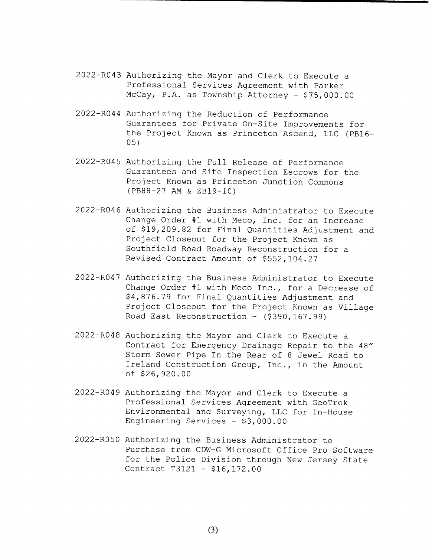- 2022- R043 Authorizing the Mayor and Clerk to Execute <sup>a</sup> Professional Services Agreement with Parker McCay, P.A. as Township Attorney - \$75,000.00
- 2022- R044 Authorizing the Reduction of Performance Guarantees for Private On- Site Improvements for the Project Known as Princeton Ascend, LLC (PB16-05)
- 2022- R045 Authorizing the Full Release of Performance Guarantees and Site Inspection Escrows for the Project Known as Princeton Junction Commons (PB88-27 AM & ZB19-10)
- 2022- R046 Authorizing the Business Administrator to Execute Change Order #1 with Meco, Inc. for an Increase of \$19, 209. 82 for Final Quantities Adjustment and Project Closeout for the Project Known as Southfield Road Roadway Reconstruction for <sup>a</sup> Revised Contract Amount of \$552,104.27
- 2022- R047 Authorizing the Business Administrator to Execute Change Order #1 with Meco Inc., for a Decrease of 4, 876. 79 for Final Quantities Adjustment and Project Closeout for the Project Known as Village Road East Reconstruction - (\$390,167.99)
- 2022- R048 Authorizing the Mayor and Clerk to Execute <sup>a</sup> Contract for Emergency Drainage Repair to the 48" Storm Sewer Pipe In the Rear of <sup>8</sup> Jewel Road to Ireland Construction Group, Inc., in the Amount of \$26, 920 . 00
- 2022- R049 Authorizing the Mayor and Clerk to Execute <sup>a</sup> Professional Services Agreement with GeoTrek Environmental and Surveying, LLC for In-House Engineering Services - \$3,000.00
- 2022- R050 Authorizing the Business Administrator to Purchase from CDW-G Microsoft Office Pro Software for the Police Division through New Jersey State Contract T3121 - \$16,172.00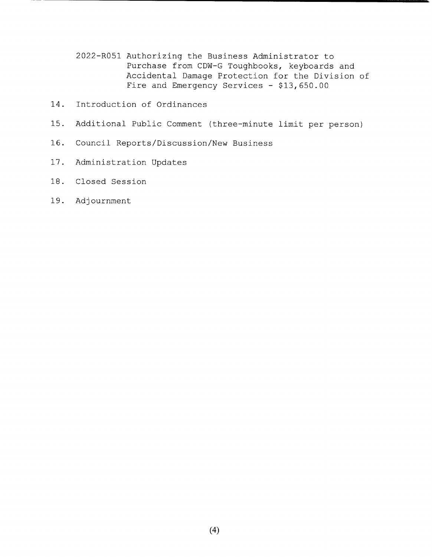- 2022- R051 Authorizing the Business Administrator to Purchase from CDW-G Toughbooks, keyboards and Accidental Damage Protection for the Division of Fire and Emergency Services - \$13,650.00
- 14. Introduction of Ordinances
- 15 . Additional Public Comment ( three- minute limit per person)
- 16. Council Reports/Discussion/New Business
- 17. Administration Updates
- 18. Closed Session
- 19. Adjournment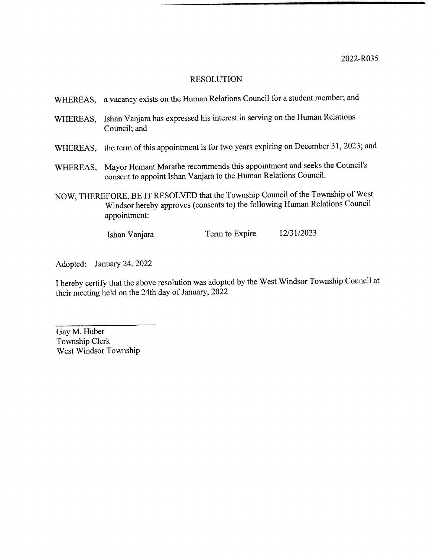| WHEREAS, a vacancy exists on the Human Relations Council for a student member; and |  |
|------------------------------------------------------------------------------------|--|
|------------------------------------------------------------------------------------|--|

- WHEREAS, Ishan Vanjara has expressed his interest in serving on the Human Relations Council; and
- WHEREAS, the term of this appointment is for two years expiring on December 31, 2023; and
- WHEREAS, Mayor Hemant Marathe recommends this appointment and seeks the Council's consent to appoint Ishan Vanjara to the Human Relations Council.
- NOW, THEREFORE, BE IT RESOLVED that the Township Council of the Township of West Windsor hereby approves (consents to) the following Human Relations Council appointment:

Ishan Vanjara Term to Expire 12/31/2023

Adopted: January 24, 2022

<sup>1</sup> hereby certify that the above resolution was adopted by the West Windsor Township Council at their meeting held on the 24th day of January, 2022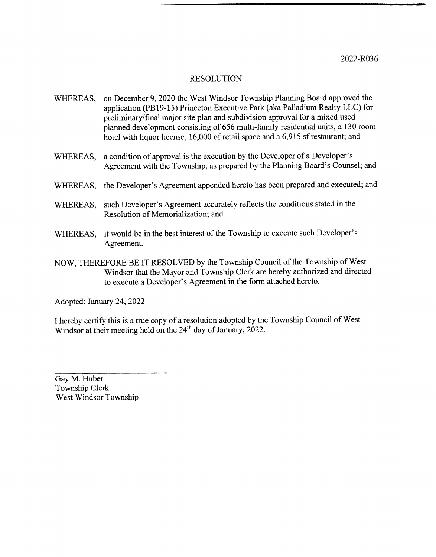- WHEREAS, on December 9, 2020 the West Windsor Township Planning Board approved the application (PB19-15) Princeton Executive Park (aka Palladium Realty LLC) for preliminary/final major site plan and subdivision approval for a mixed used planned development consisting of 656 multi- family residential units, a 130 room hotel with liquor license, 16,000 of retail space and a 6,915 sf restaurant; and
- WHEREAS, a condition of approval is the execution by the Developer of a Developer's Agreement with the Township, as prepared by the Planning Board's Counsel; and
- WHEREAS, the Developer's Agreement appended hereto has been prepared and executed; and
- WHEREAS, such Developer's Agreement accurately reflects the conditions stated in the Resolution of Memorialization; and
- WHEREAS, it would be in the best interest of the Township to execute such Developer's Agreement.
- NOW, THEREFORE BE IT RESOLVED by the Township Council of the Township of West Windsor that the Mayor and Township Clerk are hereby authorized and directed to execute a Developer's Agreement in the form attached hereto.

Adopted: January 24, 2022

I hereby certify this is <sup>a</sup> true copy of <sup>a</sup> resolution adopted by the Township Council of West Windsor at their meeting held on the 24<sup>th</sup> day of January, 2022.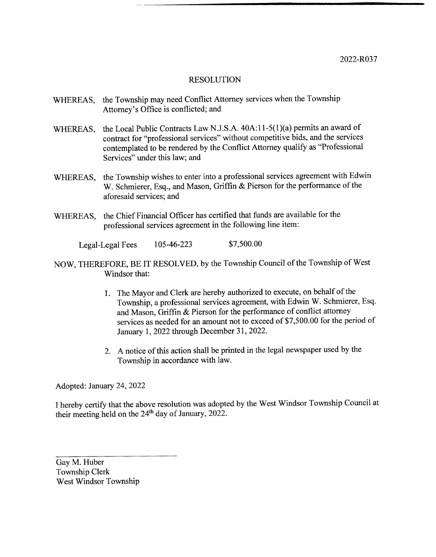- WHEREAS, the Township may need Conflict Attorney services when the Township Attorney's Office is conflicted; and
- WHEREAS, the Local Public Contracts Law N.J.S.A. 40A:11-5(1)(a) permits an award of contract for "professional services" without competitive bids, and the services contemplated to be rendered by the Conflict Attorney qualify as " Professional Services" under this law; and
- WHEREAS, the Township wishes to enter into a professional services agreement with Edwin W. Schmierer, Esq., and Mason, Griffin & Pierson for the performance of the aforesaid services; and
- WHEREAS, the Chief Financial Officer has certified that funds are available for the professional services agreement in the following line item:

Legal-Legal Fees 105-46-223 \$7,500.00

- NOW, THEREFORE, BE IT RESOLVED, by the Township Council of the Township of West Windsor that:
	- 1. The Mayor and Clerk are hereby authorized to execute, on behalf of the Township, a professional services agreement, with Edwin W. Schmierer, Esq. and Mason, Griffin& Pierson for the performance of conflict attorney services as needed for an amount not to exceed of \$7,500.00 for the period of January 1, 2022 through December 31, 2022.
	- 2. A notice of this action shall be printed in the legal newspaper used by the Township in accordance with law.

Adopted: January 24, 2022

<sup>1</sup> hereby certify that the above resolution was adopted by the West Windsor Township Council at their meeting held on the 24<sup>th</sup> day of January, 2022.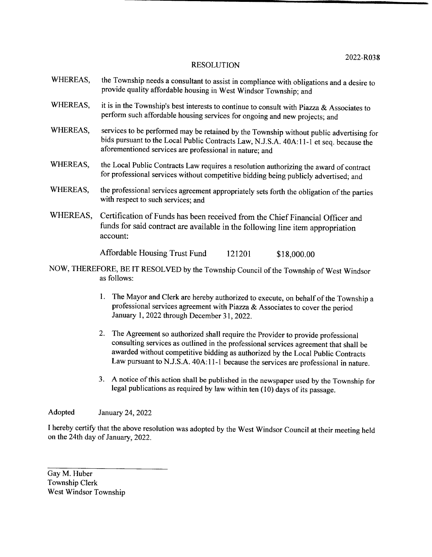- WHEREAS, the Township needs a consultant to assist in compliance with obligations and a desire to provide quality affordable housing in West Windsor Township; and
- WHEREAS, it is in the Township's best interests to continue to consult with Piazza  $\&$  Associates to perform such affordable housing services for ongoing and new projects; and
- WHEREAS, services to be performed may be retained by the Township without public advertising for bids pursuant to the Local Public Contracts Law, N.J.S.A. 40A:11-1 et seq. because the aforementioned services are professional in nature; and
- WHEREAS, the Local Public Contracts Law requires <sup>a</sup> resolution authorizing the award of contract for professional services without competitive bidding being publicly advertised; and
- WHEREAS, the professional services agreement appropriately sets forth the obligation of the parties with respect to such services; and
- WHEREAS, Certification of Funds has been received from the Chief Financial Officer and funds for said contract are available in the following line item appropriation account:

Affordable Housing Trust Fund 121201 \$18,000.00

- NOW, THEREFORE, BE IT RESOLVED by the Township Council of the Township of West Windsor as follows:
	- 1. The Mayor and Clerk are hereby authorized to execute, on behalf of the Township <sup>a</sup> professional services agreement with Piazza& Associates to cover the period January 1, 2022 through December 31, 2022.
	- 2. The Agreement so authorized shall require the Provider to provide professional consulting services as outlined in the professional services agreement that shall be awarded without competitive bidding as authorized by the Local Public Contracts Law pursuant to N.J.S.A. 40A:11-1 because the services are professional in nature.
	- 3. A notice of this action shall be published in the newspaper used by the Township for legal publications as required by law within ten( 10) days of its passage.

Adopted January 24, 2022

I hereby certify that the above resolution was adopted by the West Windsor Council at their meeting held on the 24th day of January, 2022.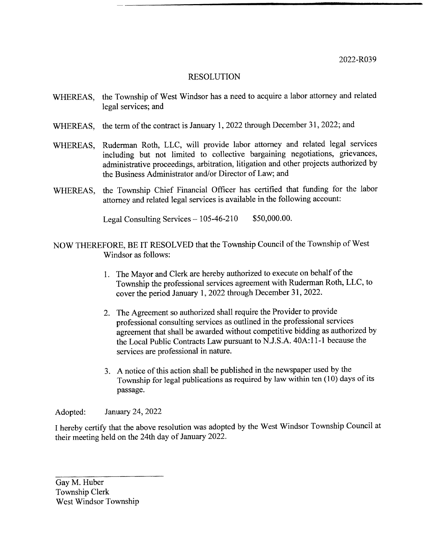2022-R039

# RESOLUTION

- WHEREAS, the Township of West Windsor has a need to acquire <sup>a</sup> labor attorney and related legal services; and
- WHEREAS, the term of the contract is January 1, 2022 through December 31, 2022; and
- WHEREAS, Ruderman Roth, LLC, will provide labor attorney and related legal services including but not limited to collective bargaining negotiations, grievances, administrative proceedings, arbitration, litigation and other projects authorized by the Business Administrator and/or Director of Law; and
- WHEREAS, the Township Chief Financial Officer has certified that funding for the labor attorney and related legal services is available in the following account:

Legal Consulting Services  $-105-46-210$  \$50,000.00.

- NOW THEREFORE, BE IT RESOLVED that the Township Council of the Township of West Windsor as follows:
	- 1. The Mayor and Clerk are hereby authorized to execute on behalf of the Township the professional services agreement with Ruderman Roth, LLC, to cover the period January 1, 2022 through December 31, 2022.
	- 2. The Agreement so authorized shall require the Provider to provide professional consulting services as outlined in the professional services agreement that shall be awarded without competitive bidding as authorized by the Local Public Contracts Law pursuant to N.J.S.A. 40A:11-1 because the services are professional in nature.
	- 3. A notice ofthis action shall be published in the newspaper used by the Township for legal publications as required by law within ten( 10) days of its passage.

Adopted: January 24, 2022

<sup>1</sup> hereby certify that the above resolution was adopted by the West Windsor Township Council at their meeting held on the 24th day of January 2022.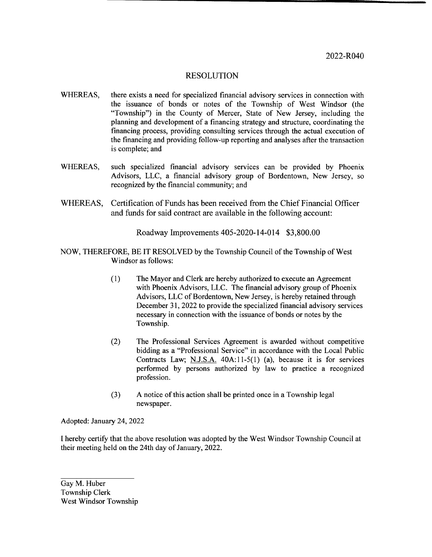- WHEREAS, there exists <sup>a</sup> need for specialized financial advisory services in connection with the issuance of bonds or notes of the Township of West Windsor ( the Township") in the County of Mercer, State of New Jersey, including the planning and development of <sup>a</sup> financing strategy and structure, coordinating the financing process, providing consulting services through the actual execution of the financing and providing follow- up reporting and analyses after the transaction is complete; and
- WHEREAS, such specialized financial advisory services can be provided by Phoenix Advisors, LLC, a financial advisory group of Bordentown, New Jersey, so recognized by the financial community; and
- WHEREAS, Certification of Funds has been received from the Chief Financial Officer and funds for said contract are available in the following account:

Roadway Improvements 405-2020-14-014 \$3,800.00

- NOW, THEREFORE, BE IT RESOLVED by the Township Council of the Township of West Windsor as follows:
	- 1) The Mayor and Clerk are hereby authorized to execute an Agreement with Phoenix Advisors, LLC. The financial advisory group of Phoenix Advisors, LLC of Bordentown, New Jersey, is hereby retained through December 31, 2022 to provide the specialized financial advisory services necessary in connection with the issuance of bonds or notes by the Township.
	- 2) The Professional Services Agreement is awarded without competitive bidding as a "Professional Service" in accordance with the Local Public Contracts Law; N.J.S.A.  $40A:11-5(1)$  (a), because it is for services performed by persons authorized by law to practice a recognized profession.
	- 3) A notice of this action shall be printed once in <sup>a</sup> Township legal newspaper.

Adopted: January 24, 2022

I hereby certify that the above resolution was adopted by the West Windsor Township Council at their meeting held on the 24th day of January, 2022.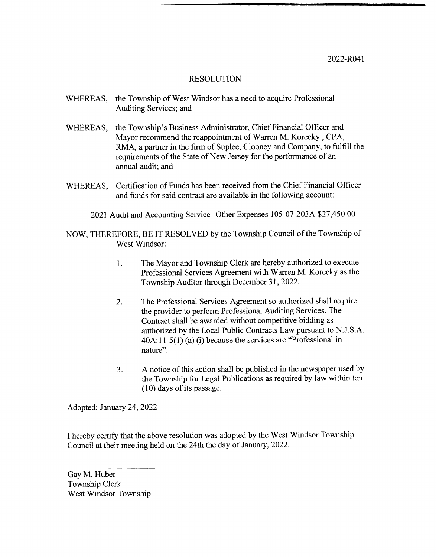2022-R041

## RESOLUTION

- WHEREAS, the Township of West Windsor has <sup>a</sup> need to acquire Professional Auditing Services; and
- WHEREAS, the Township's Business Administrator, Chief Financial Officer and Mayor recommend the reappointment of Warren M. Korecky., CPA, RMA, a partner in the firm of Suplee, Clooney and Company, to fulfill the requirements of the State of New Jersey for the performance of an annual audit; and
- WHEREAS, Certification of Funds has been received from the Chief Financial Officer and funds for said contract are available in the following account:
	- 2021 Audit and Accounting Service Other Expenses 105-07-203A \$27,450.00
- NOW, THEREFORE, BE IT RESOLVED by the Township Council of the Township of West Windsor:
	- 1. The Mayor and Township Clerk are hereby authorized to execute Professional Services Agreement with Warren M. Korecky as the Township Auditor through December 31, 2022.
	- 2. The Professional Services Agreement so authorized shall require the provider to perform Professional Auditing Services. The Contract shall be awarded without competitive bidding as authorized by the Local Public Contracts Law pursuant to N.J.S.A.  $40A:11-5(1)$  (a) (i) because the services are "Professional in nature".
	- 3. A notice of this action shall be published in the newspaper used by the Township for Legal Publications as required by law within ten 10) days of its passage.

Adopted: January 24, 2022

I hereby certify that the above resolution was adopted by the West Windsor Township Council at their meeting held on the 24th the day of January, 2022.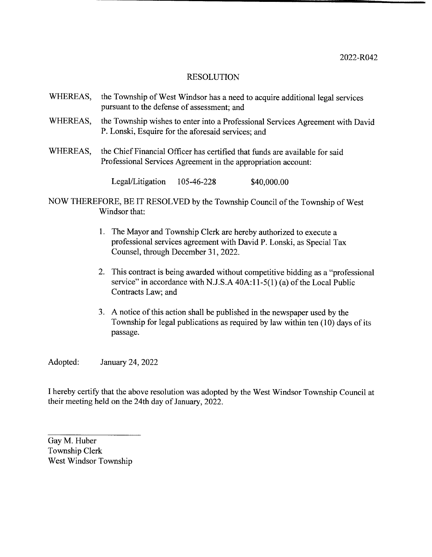- WHEREAS, the Township of West Windsor has a need to acquire additional legal services pursuant to the defense of assessment; and
- WHEREAS, the Township wishes to enter into <sup>a</sup> Professional Services Agreement with David P. Lonski, Esquire for the aforesaid services; and
- WHEREAS, the Chief Financial Officer has certified that funds are available for said Professional Services Agreement in the appropriation account:

Legal/Litigation 105-46-228 \$40,000.00

- NOW THEREFORE, BE IT RESOLVED by the Township Council of the Township of West Windsor that:
	- 1. The Mayor and Township Clerk are hereby authorized to execute a professional services agreement with David P. Lonski, as Special Tax Counsel, through December 31, 2022.
	- 2. This contract is being awarded without competitive bidding as a "professional" service" in accordance with N.J.S.A  $40A:11-5(1)$  (a) of the Local Public Contracts Law; and
	- 3. A notice of this action shall be published in the newspaper used by the Township for legal publications as required by law within ten( 10) days of its passage.

Adopted: January 24, 2022

I hereby certify that the above resolution was adopted by the West Windsor Township Council at their meeting held on the 24th day of January, 2022.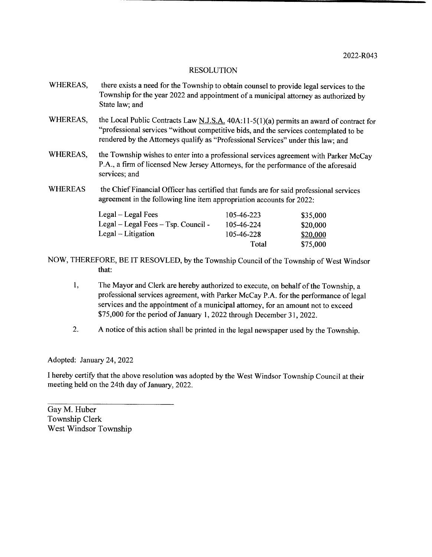- WHEREAS, there exists a need for the Township to obtain counsel to provide legal services to the Township for the year 2022 and appointment of <sup>a</sup> municipal attorney as authorized by State law; and
- WHEREAS, the Local Public Contracts Law N.J.S.A. 40A:11-5(1)(a) permits an award of contract for "professional services "without competitive bids, and the services contemplated to be rendered by the Attorneys qualify as "Professional Services" under this law; and
- WHEREAS, the Township wishes to enter into a professional services agreement with Parker McCay P.A., a firm of licensed New Jersey Attorneys, for the performance of the aforesaid services; and
- WHEREAS the Chief Financial Officer has certified that funds are for said professional services agreement in the following line item appropriation accounts for 2022:

| Legal – Legal Fees                  | 105-46-223 | \$35,000 |
|-------------------------------------|------------|----------|
| Legal – Legal Fees – Tsp. Council - | 105-46-224 | \$20,000 |
| $Legal-Litigation$                  | 105-46-228 | \$20,000 |
|                                     | Total      | \$75,000 |

- NOW, THEREFORE, BE IT RESOVLED, by the Township Council of the Township of West Windsor that:
	- 1, The Mayor and Clerk are hereby authorized to execute, on behalf of the Township, <sup>a</sup> professional services agreement, with Parker McCay P.A. for the performance of legal services and the appointment of <sup>a</sup> municipal attorney, for an amount not to exceed 75, 000 for the period of January 1, 2022 through December 31, 2022.
	- 2. A notice of this action shall be printed in the legal newspaper used by the Township.

Adopted: January 24, 2022

I hereby certify that the above resolution was adopted by the West Windsor Township Council at their meeting held on the 24th day of January, 2022.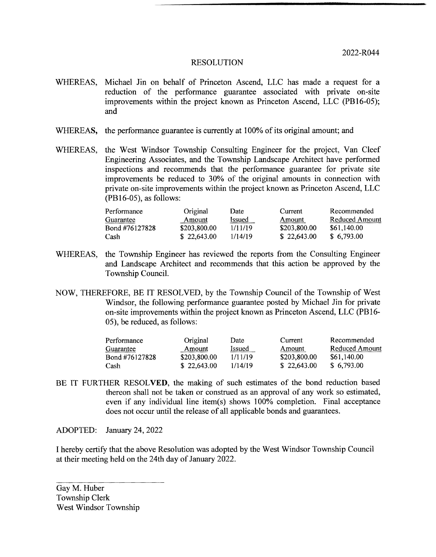- WHEREAS, Michael Jin on behalf of Princeton Ascend, LLC has made a request for <sup>a</sup> reduction of the performance guarantee associated with private on-site improvements within the project known as Princeton Ascend, LLC (PB16-05); and
- WHEREAS, the performance guarantee is currently at 100% of its original amount; and
- WHEREAS, the West Windsor Township Consulting Engineer for the project, Van Cleef Engineering Associates, and the Township Landscape Architect have performed inspections and recommends that the performance guarantee for private site improvements be reduced to 30% of the original amounts in connection with private on- site improvements within the project known as Princeton Ascend, LLC  $(PB16-05)$ , as follows:

| Performance    | Original     | Date         | Current      | Recommended           |
|----------------|--------------|--------------|--------------|-----------------------|
| Guarantee      | Amount       | <i>ssued</i> | Amount       | <b>Reduced Amount</b> |
| Bond #76127828 | \$203,800,00 | 1/11/19      | \$203,800.00 | \$61,140.00           |
| Cash           | \$22.643.00  | 1/14/19      | \$22,643.00  | \$6.793.00            |

- WHEREAS, the Township Engineer has reviewed the reports from the Consulting Engineer and Landscape Architect and recommends that this action be approved by the Township Council.
- NOW, THEREFORE, BE IT RESOLVED, by the Township Council of the Township of West Windsor, the following performance guarantee posted by Michael Jin for private on-site improvements within the project known as Princeton Ascend, LLC (PB16-05), be reduced, as follows:

| Performance    | Original     | Date    | Current      | Recommended    |
|----------------|--------------|---------|--------------|----------------|
| Guarantee      | Amount       | Issued  | Amount       | Reduced Amount |
| Bond #76127828 | \$203,800.00 | 1/11/19 | \$203,800.00 | \$61,140.00    |
| Cash           | \$22.643.00  | 1/14/19 | \$22,643.00  | \$6,793.00     |

BE IT FURTHER RESOLVED, the making of such estimates of the bond reduction based thereon shall not be taken or construed as an approval of any work so estimated, even if any individual line item(s) shows 100% completion. Final acceptance does not occur until the release of all applicable bonds and guarantees.

ADOPTED: January 24, 2022

<sup>1</sup> hereby certify that the above Resolution was adopted by the West Windsor Township Council at their meeting held on the 24th day of January 2022.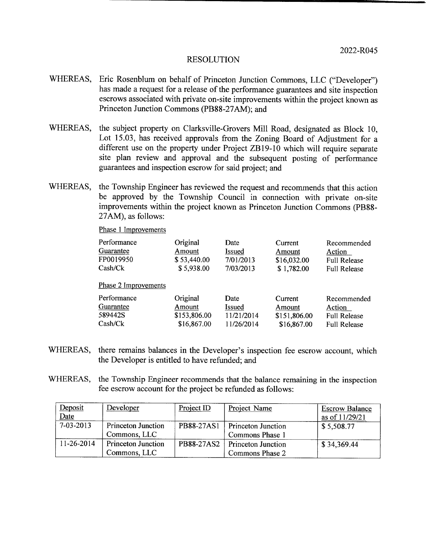- WHEREAS, Eric Rosenblum on behalf of Princeton Junction Commons, LLC ("Developer") has made <sup>a</sup> request for a release of the performance guarantees and site inspection escrows associated with private on- site improvements within the project known as Princeton Junction Commons (PB88-27AM); and
- WHEREAS, the subject property on Clarksville-Grovers Mill Road, designated as Block 10, Lot 15.03, has received approvals from the Zoning Board of Adjustment for a different use on the property under Project ZB19-10 which will require separate site plan review and approval and the subsequent posting of performance guarantees and inspection escrow for said project; and
- WHEREAS, the Township Engineer has reviewed the request and recommends that this action be approved by the Township Council in connection with private on-site improvements within the project known as Princeton Junction Commons (PB88-27AM), as follows:

Phase <sup>1</sup> Improvements

| Performance          | Original     | Date       | Current      | Recommended         |
|----------------------|--------------|------------|--------------|---------------------|
| Guarantee            | Amount       | Issued     | Amount       | Action              |
| FP0019950            | \$53,440.00  | 7/01/2013  | \$16,032.00  | <b>Full Release</b> |
| Cash/Ck              | \$5,938.00   | 7/03/2013  | \$1,782.00   | <b>Full Release</b> |
| Phase 2 Improvements |              |            |              |                     |
| Performance          | Original     | Date       | Current      | Recommended         |
| Guarantee            | Amount       | Issued     | Amount       | Action              |
| 589442S              | \$153,806.00 | 11/21/2014 | \$151,806.00 | <b>Full Release</b> |
| Cash/Ck              | \$16,867.00  | 11/26/2014 | \$16,867.00  | <b>Full Release</b> |

- WHEREAS, there remains balances in the Developer's inspection fee escrow account, which the Developer is entitled to have refunded; and
- WHEREAS, the Township Engineer recommends that the balance remaining in the inspection fee escrow account for the project be refunded as follows:

| Deposit     | Developer                 | Project ID | Project Name                    | <b>Escrow Balance</b> |
|-------------|---------------------------|------------|---------------------------------|-----------------------|
| Date        |                           |            |                                 | as of 11/29/21        |
| $7-03-2013$ | <b>Princeton Junction</b> | PB88-27AS1 | <b>Princeton Junction</b>       | \$5,508.77            |
|             | Commons, LLC              |            | Commons Phase 1                 |                       |
| 11-26-2014  | <b>Princeton Junction</b> |            | PB88-27AS2   Princeton Junction | \$34,369.44           |
|             | Commons, LLC              |            | Commons Phase 2                 |                       |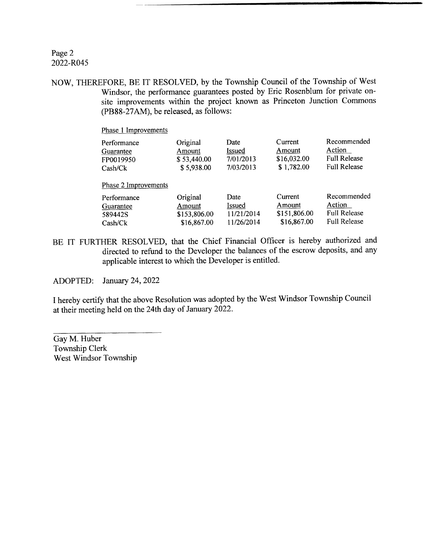# Page 2 2022-R045

NOW, THEREFORE, BE IT RESOLVED, by the Township Council of the Township of West Windsor, the performance guarantees posted by Eric Rosenblum for private onsite improvements within the project known as Princeton Junction Commons (PB88-27AM), be released, as follows:

Phase <sup>1</sup> Improvements

| Performance                                                            | Original                                          | Date                                       | Current                                          | Recommended                                                         |
|------------------------------------------------------------------------|---------------------------------------------------|--------------------------------------------|--------------------------------------------------|---------------------------------------------------------------------|
| Guarantee                                                              | Amount                                            | Issued                                     | Amount                                           | Action                                                              |
| FP0019950                                                              | \$53,440.00                                       | 7/01/2013                                  | \$16,032.00                                      | <b>Full Release</b>                                                 |
| Cash/CK                                                                | \$5,938.00                                        | 7/03/2013                                  | \$1,782.00                                       | <b>Full Release</b>                                                 |
| Phase 2 Improvements<br>Performance<br>Guarantee<br>589442S<br>Cash/CK | Original<br>Amount<br>\$153,806.00<br>\$16,867.00 | Date<br>Issued<br>11/21/2014<br>11/26/2014 | Current<br>Amount<br>\$151,806.00<br>\$16,867.00 | Recommended<br>Action<br><b>Full Release</b><br><b>Full Release</b> |

BE IT FURTHER RESOLVED, that the Chief Financial Officer is hereby authorized and directed to refund to the Developer the balances of the escrow deposits, and any applicable interest to which the Developer is entitled.

ADOPTED: January 24, 2022

I hereby certify that the above Resolution was adopted by the West Windsor Township Council at their meeting held on the 24th day of January 2022.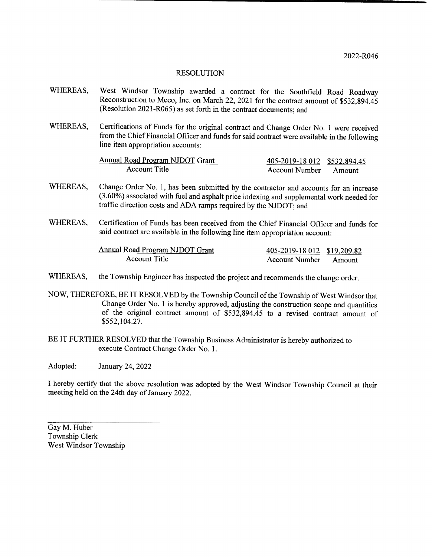- WHEREAS, West Windsor Township awarded a contract for the Southfield Road Roadway Reconstruction to Meco, Inc. on March 22, 2021 for the contract amount of \$532,894.45 Resolution 2021- R065) as set forth in the contract documents; and
- WHEREAS, Certifications of Funds for the original contract and Change Order No. 1 were received from the Chief Financial Officer and funds for said contract were available in the following line item appropriation accounts:

| <b>Annual Road Program NJDOT Grant</b> | 405-2019-18 012 \$532,894.45 |        |
|----------------------------------------|------------------------------|--------|
| <b>Account Title</b>                   | <b>Account Number</b>        | Amount |

- WHEREAS, Change Order No. 1, has been submitted by the contractor and accounts for an increase 3. 60%) associated with fuel and asphalt price indexing and supplemental work needed for traffic direction costs and ADA ramps required by the NJDOT; and
- WHEREAS, Certification of Funds has been received from the Chief Financial Officer and funds for said contract are available in the following line item appropriation account:

| <b>Annual Road Program NJDOT Grant</b> | 405-2019-18 012 \$19,209.82 |  |
|----------------------------------------|-----------------------------|--|
| Account Title                          | Account Number Amount       |  |

- WHEREAS, the Township Engineer has inspected the project and recommends the change order.
- NOW, THEREFORE, BE IT RESOLVED by the Township Council of the Township of West Windsor that Change Order No. 1 is hereby approved, adjusting the construction scope and quantities of the original contract amount of \$532,894.45 to a revised contract amount of 552, 104. 27.
- BE IT FURTHER RESOLVED that the Township Business Administrator is hereby authorized to execute Contract Change Order No. 1.

Adopted: January 24, 2022

I hereby certify that the above resolution was adopted by the West Windsor Township Council at their meeting held on the 24th day of January 2022.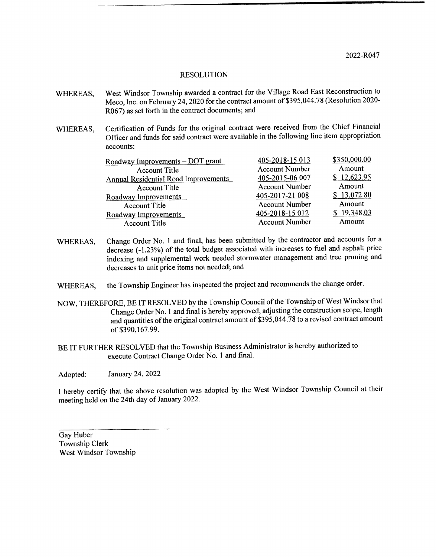- WHEREAS, West Windsor Township awarded a contract for the Village Road East Reconstruction to Meco, Inc. on February 24, 2020 for the contract amount of \$395,044.78 (Resolution 2020-R067) as set forth in the contract documents; and
- WHEREAS, Certification of Funds for the original contract were received from the Chief Financial Officer and funds for said contract were available in the following line item appropriation accounts:

| Roadway Improvements - DOT grant            | 405-2018-15 013       | \$350,000.00 |
|---------------------------------------------|-----------------------|--------------|
| <b>Account Title</b>                        | <b>Account Number</b> | Amount       |
| <b>Annual Residential Road Improvements</b> | 405-2015-06 007       | \$12,623.95  |
| <b>Account Title</b>                        | <b>Account Number</b> | Amount       |
| Roadway Improvements                        | 405-2017-21 008       | \$13,072.80  |
| <b>Account Title</b>                        | <b>Account Number</b> | Amount       |
| Roadway Improvements                        | 405-2018-15 012       | \$19,348.03  |
| <b>Account Title</b>                        | <b>Account Number</b> | Amount       |

- WHEREAS, Change Order No. 1 and final, has been submitted by the contractor and accounts for a decrease (-1.23%) of the total budget associated with increases to fuel and asphalt price indexing and supplemental work needed stormwater management and tree pruning and decreases to unit price items not needed; and
- WHEREAS, the Township Engineer has inspected the project and recommends the change order.
- NOW, THEREFORE, BE IT RESOLVED by the Township Council of the Township of West Windsor that Change Order No. I and final is hereby approved, adjusting the construction scope, length and quantities of the original contract amount of \$395,044.78 to a revised contract amount of \$390, 167.99.
- BE IT FURTHER RESOLVED that the Township Business Administrator is hereby authorized to execute Contract Change Order No. I and final.

Adopted: January 24, 2022

<sup>1</sup> hereby certify that the above resolution was adopted by the West Windsor Township Council at their meeting held on the 24th day of January 2022.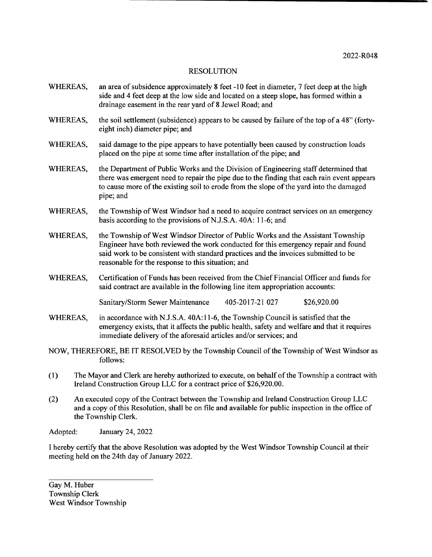- WHEREAS, an area of subsidence approximately 8 feet -10 feet in diameter, 7 feet deep at the high side and 4 feet deep at the low side and located on a steep slope, has formed within a drainage easement in the rear yard of <sup>8</sup> Jewel Road; and
- WHEREAS, the soil settlement (subsidence) appears to be caused by failure of the top of a 48" (fortyeight inch) diameter pipe; and
- WHEREAS, said damage to the pipe appears to have potentially been caused by construction loads placed on the pipe at some time after installation of the pipe; and
- WHEREAS, the Department of Public Works and the Division of Engineering staff determined that there was emergent need to repair the pipe due to the finding that each rain event appears to cause more of the existing soil to erode from the slope of the yard into the damaged pipe; and
- WHEREAS, the Township of West Windsor had a need to acquire contract services on an emergency basis according to the provisions of N.J.S.A. 40A: 11-6; and
- WHEREAS, the Township of West Windsor Director of Public Works and the Assistant Township Engineer have both reviewed the work conducted for this emergency repair and found said work to be consistent with standard practices and the invoices submitted to be reasonable for the response to this situation; and
- WHEREAS, Certification of Funds has been received from the Chief Financial Officer and funds for said contract are available in the following line item appropriation accounts:

Sanitary/Storm Sewer Maintenance 405-2017-21 027 \$26,920.00

- WHEREAS, in accordance with N.J.S.A. 40A:11-6, the Township Council is satisfied that the emergency exists, that it affects the public health, safety and welfare and that it requires immediate delivery of the aforesaid articles and/or services; and
- NOW, THEREFORE, BE IT RESOLVED by the Township Council ofthe Township of West Windsor as follows:
- 1) The Mayor and Clerk are hereby authorized to execute, on behalf of the Township <sup>a</sup> contract with Ireland Construction Group LLC for a contract price of \$26,920.00.
- (2) An executed copy of the Contract between the Township and Ireland Construction Group LLC and <sup>a</sup> copy of this Resolution, shall be on file and available for public inspection in the office of the Township Clerk.

Adopted: January 24, 2022

<sup>1</sup> hereby certify that the above Resolution was adopted by the West Windsor Township Council at their meeting held on the 24th day of January 2022.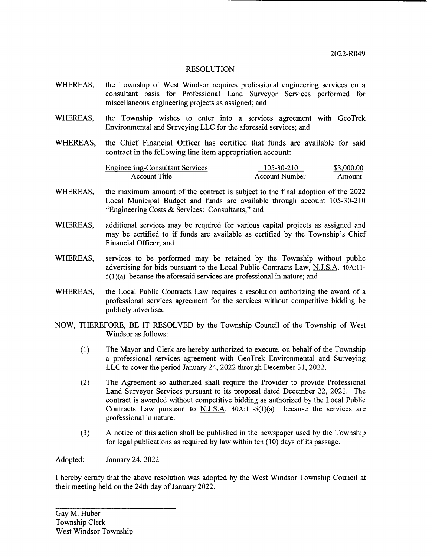- WHEREAS, the Township of West Windsor requires professional engineering services on <sup>a</sup> consultant basis for Professional Land Surveyor Services performed for miscellaneous engineering projects as assigned; and
- WHEREAS, the Township wishes to enter into a services agreement with GeoTrek Environmental and Surveying LLC for the aforesaid services; and
- WHEREAS, the Chief Financial Officer has certified that funds are available for said contract in the following line item appropriation account:

| <b>Engineering-Consultant Services</b> | 105-30-210     | \$3,000.00 |
|----------------------------------------|----------------|------------|
| Account Title                          | Account Number | Amount     |

- WHEREAS, the maximum amount of the contract is subject to the final adoption of the 2022 Local Municipal Budget and funds are available through account 105-30-210 Engineering Costs& Services: Consultants;" and
- WHEREAS, additional services may be required for various capital projects as assigned and may be certified to if funds are available as certified by the Township's Chief Financial Officer; and
- WHEREAS, services to be performed may be retained by the Township without public advertising for bids pursuant to the Local Public Contracts Law, N.J.S.A. 40A:11- $5(1)(a)$  because the aforesaid services are professional in nature; and
- WHEREAS, the Local Public Contracts Law requires <sup>a</sup> resolution authorizing the award of <sup>a</sup> professional services agreement for the services without competitive bidding be publicly advertised.
- NOW, THEREFORE, BE IT RESOLVED by the Township Council of the Township of West Windsor as follows:
	- 1) The Mayor and Clerk are hereby authorized to execute, on behalf of the Township a professional services agreement with GeoTrek Environmental and Surveying LLC to cover the period January 24, 2022 through December 31, 2022.
	- 2) The Agreement so authorized shall require the Provider to provide Professional Land Surveyor Services pursuant to its proposal dated December 22, 2021. The contract is awarded without competitive bidding as authorized by the Local Public Contracts Law pursuant to N.J.S.A.  $40A:11-5(1)(a)$  because the services are professional in nature.
	- 3) A notice of this action shall be published in the newspaper used by the Township for legal publications as required by law within ten( 10) days of its passage.

Adopted: January 24, 2022

I hereby certify that the above resolution was adopted by the West Windsor Township Council at their meeting held on the 24th day of January 2022.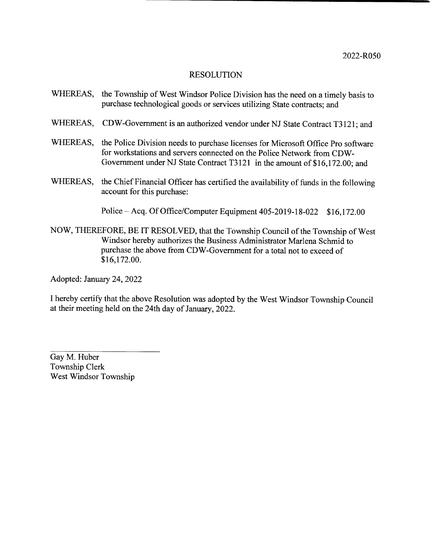- WHEREAS, the Township of West Windsor Police Division has the need on <sup>a</sup> timely basis to purchase technological goods or services utilizing State contracts; and
- WHEREAS, CDW-Government is an authorized vendor under NJ State Contract T3121; and
- WHEREAS, the Police Division needs to purchase licenses for Microsoft Office Pro software for workstations and servers connected on the Police Network from CDW-Government under NJ State Contract T3121 in the amount of \$16,172.00; and
- WHEREAS, the Chief Financial Officer has certified the availability of funds in the following account for this purchase:

Police – Acq. Of Office/Computer Equipment 405-2019-18-022 \$16,172.00

NOW, THEREFORE, BE IT RESOLVED, that the Township Council of the Township of West Windsor hereby authorizes the Business Administrator Marlena Schmid to purchase the above from CDW- Government for <sup>a</sup> total not to exceed of \$16, 172.00.

Adopted: January 24, 2022

I hereby certify that the above Resolution was adopted by the West Windsor Township Council at their meeting held on the 24th day of January, 2022.